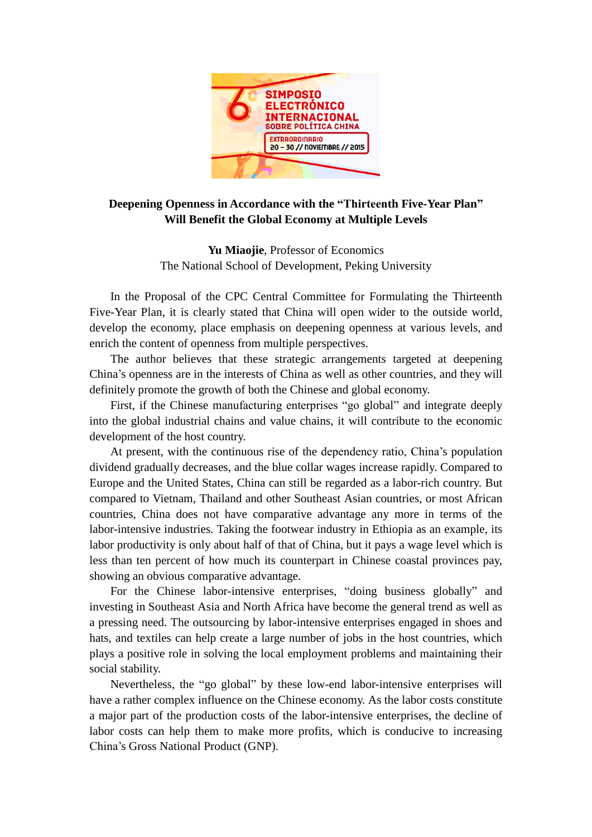

## **Deepening Openness in Accordance with the "Thirteenth Five-Year Plan" Will Benefit the Global Economy at Multiple Levels**

**Yu Miaojie**, Professor of Economics The National School of Development, Peking University

In the Proposal of the CPC Central Committee for Formulating the Thirteenth Five-Year Plan, it is clearly stated that China will open wider to the outside world, develop the economy, place emphasis on deepening openness at various levels, and enrich the content of openness from multiple perspectives.

The author believes that these strategic arrangements targeted at deepening China's openness are in the interests of China as well as other countries, and they will definitely promote the growth of both the Chinese and global economy.

First, if the Chinese manufacturing enterprises "go global" and integrate deeply into the global industrial chains and value chains, it will contribute to the economic development of the host country.

At present, with the continuous rise of the dependency ratio, China's population dividend gradually decreases, and the blue collar wages increase rapidly. Compared to Europe and the United States, China can still be regarded as a labor-rich country. But compared to Vietnam, Thailand and other Southeast Asian countries, or most African countries, China does not have comparative advantage any more in terms of the labor-intensive industries. Taking the footwear industry in Ethiopia as an example, its labor productivity is only about half of that of China, but it pays a wage level which is less than ten percent of how much its counterpart in Chinese coastal provinces pay, showing an obvious comparative advantage.

For the Chinese labor-intensive enterprises, "doing business globally" and investing in Southeast Asia and North Africa have become the general trend as well as a pressing need. The outsourcing by labor-intensive enterprises engaged in shoes and hats, and textiles can help create a large number of jobs in the host countries, which plays a positive role in solving the local employment problems and maintaining their social stability.

Nevertheless, the "go global" by these low-end labor-intensive enterprises will have a rather complex influence on the Chinese economy. As the labor costs constitute a major part of the production costs of the labor-intensive enterprises, the decline of labor costs can help them to make more profits, which is conducive to increasing China's Gross National Product (GNP).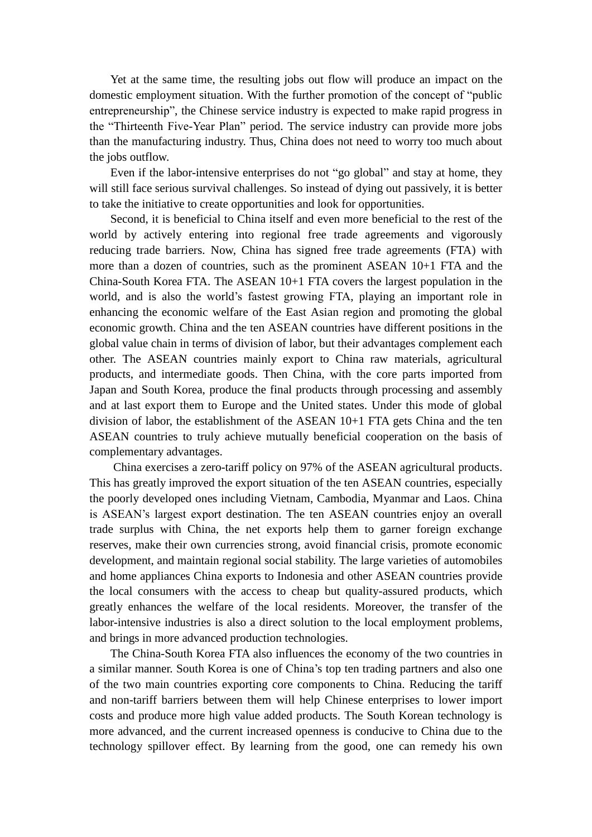Yet at the same time, the resulting jobs out flow will produce an impact on the domestic employment situation. With the further promotion of the concept of "public entrepreneurship", the Chinese service industry is expected to make rapid progress in the "Thirteenth Five-Year Plan" period. The service industry can provide more jobs than the manufacturing industry. Thus, China does not need to worry too much about the jobs outflow.

Even if the labor-intensive enterprises do not "go global" and stay at home, they will still face serious survival challenges. So instead of dying out passively, it is better to take the initiative to create opportunities and look for opportunities.

Second, it is beneficial to China itself and even more beneficial to the rest of the world by actively entering into regional free trade agreements and vigorously reducing trade barriers. Now, China has signed free trade agreements (FTA) with more than a dozen of countries, such as the prominent ASEAN 10+1 FTA and the China-South Korea FTA. The ASEAN 10+1 FTA covers the largest population in the world, and is also the world's fastest growing FTA, playing an important role in enhancing the economic welfare of the East Asian region and promoting the global economic growth. China and the ten ASEAN countries have different positions in the global value chain in terms of division of labor, but their advantages complement each other. The ASEAN countries mainly export to China raw materials, agricultural products, and intermediate goods. Then China, with the core parts imported from Japan and South Korea, produce the final products through processing and assembly and at last export them to Europe and the United states. Under this mode of global division of labor, the establishment of the ASEAN 10+1 FTA gets China and the ten ASEAN countries to truly achieve mutually beneficial cooperation on the basis of complementary advantages.

China exercises a zero-tariff policy on 97% of the ASEAN agricultural products. This has greatly improved the export situation of the ten ASEAN countries, especially the poorly developed ones including Vietnam, Cambodia, Myanmar and Laos. China is ASEAN's largest export destination. The ten ASEAN countries enjoy an overall trade surplus with China, the net exports help them to garner foreign exchange reserves, make their own currencies strong, avoid financial crisis, promote economic development, and maintain regional social stability. The large varieties of automobiles and home appliances China exports to Indonesia and other ASEAN countries provide the local consumers with the access to cheap but quality-assured products, which greatly enhances the welfare of the local residents. Moreover, the transfer of the labor-intensive industries is also a direct solution to the local employment problems, and brings in more advanced production technologies.

The China-South Korea FTA also influences the economy of the two countries in a similar manner. South Korea is one of China's top ten trading partners and also one of the two main countries exporting core components to China. Reducing the tariff and non-tariff barriers between them will help Chinese enterprises to lower import costs and produce more high value added products. The South Korean technology is more advanced, and the current increased openness is conducive to China due to the technology spillover effect. By learning from the good, one can remedy his own